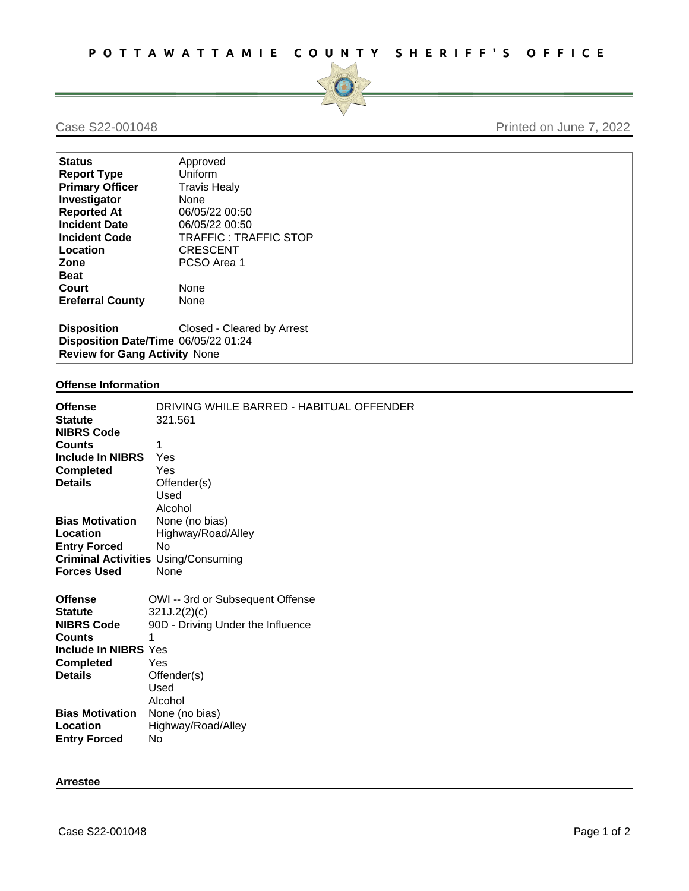

# Case S22-001048 Printed on June 7, 2022

| <b>Status</b>                        | Approved                   |
|--------------------------------------|----------------------------|
| <b>Report Type</b>                   | Uniform                    |
| <b>Primary Officer</b>               | <b>Travis Healy</b>        |
| Investigator                         | None                       |
| <b>Reported At</b>                   | 06/05/22 00:50             |
| <b>Incident Date</b>                 | 06/05/22 00:50             |
| <b>Incident Code</b>                 | TRAFFIC: TRAFFIC STOP      |
| Location                             | <b>CRESCENT</b>            |
| Zone                                 | PCSO Area 1                |
| <b>Beat</b>                          |                            |
| Court                                | <b>None</b>                |
| <b>Ereferral County</b>              | None                       |
|                                      |                            |
| <b>Disposition</b>                   | Closed - Cleared by Arrest |
| Disposition Date/Time 06/05/22 01:24 |                            |
| <b>Review for Gang Activity None</b> |                            |

### **Offense Information**

| <b>Offense</b><br><b>Statute</b><br><b>NIBRS Code</b><br><b>Counts</b><br>Include In NIBRS<br><b>Completed</b><br><b>Details</b> | DRIVING WHILE BARRED - HABITUAL OFFENDER<br>321.561<br>1<br>Yes<br>Yes<br>Offender(s)<br>Used<br>Alcohol |
|----------------------------------------------------------------------------------------------------------------------------------|----------------------------------------------------------------------------------------------------------|
| <b>Bias Motivation</b>                                                                                                           | None (no bias)                                                                                           |
| Location                                                                                                                         | Highway/Road/Alley                                                                                       |
| <b>Entry Forced</b>                                                                                                              | No                                                                                                       |
|                                                                                                                                  | <b>Criminal Activities Using/Consuming</b>                                                               |
| <b>Forces Used</b>                                                                                                               | None                                                                                                     |
|                                                                                                                                  |                                                                                                          |
| <b>Offense</b>                                                                                                                   | OWI -- 3rd or Subsequent Offense                                                                         |
| <b>Statute</b>                                                                                                                   | 321J.2(2)(c)                                                                                             |
| <b>NIBRS Code</b>                                                                                                                | 90D - Driving Under the Influence                                                                        |
| <b>Counts</b>                                                                                                                    | 1                                                                                                        |
| Include In NIBRS Yes                                                                                                             |                                                                                                          |
| <b>Completed</b>                                                                                                                 | Yes                                                                                                      |
| <b>Details</b>                                                                                                                   | Offender(s)                                                                                              |
|                                                                                                                                  | Used                                                                                                     |
|                                                                                                                                  | Alcohol                                                                                                  |
| <b>Bias Motivation</b>                                                                                                           | None (no bias)                                                                                           |
| Location                                                                                                                         | Highway/Road/Alley                                                                                       |
| <b>Entry Forced</b>                                                                                                              | No                                                                                                       |
|                                                                                                                                  |                                                                                                          |

#### **Arrestee**